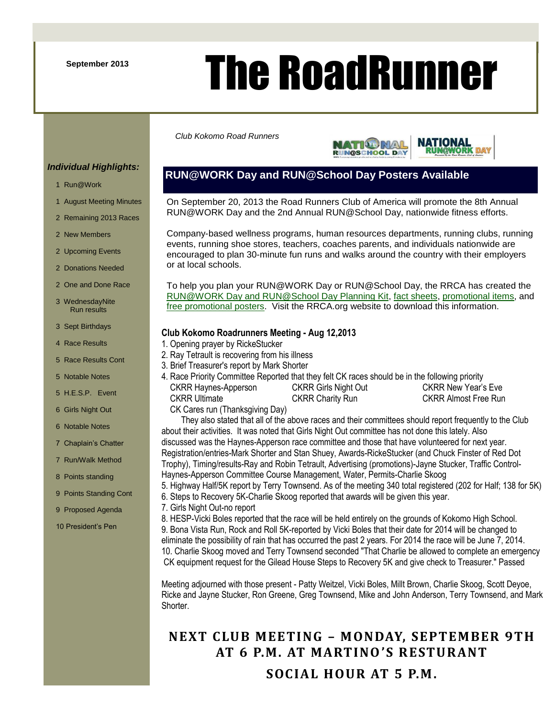# September 2013<br> **The RoadRunner**

*Club Kokomo Road Runners*



### *Individual Highlights:*

- 1 Run@Work
- 1 August Meeting Minutes
- 2 Remaining 2013 Races
- 2 New Members
- 2 Upcoming Events
- 2 Donations Needed
- 2 One and Done Race
- 3 WednesdayNite Run results
- 3 Sept Birthdays
- 4 Race Results
- 5 Race Results Cont
- 5 Notable Notes
- 5 H.E.S.P. Event
- 6 Girls Night Out
- 6 Notable Notes
- 7 Chaplain's Chatter
- 7 Run/Walk Method
- 8 Points standing
- 9 Points Standing Cont
- 9 Proposed Agenda
- 10 President's Pen

### **RUN@WORK Day and RUN@School Day Posters Available**

On September 20, 2013 the Road Runners Club of America will promote the 8th Annual RUN@WORK Day and the 2nd Annual RUN@School Day, nationwide fitness efforts.

Company-based wellness programs, human resources departments, running clubs, running events, running shoe stores, teachers, coaches parents, and individuals nationwide are encouraged to plan 30-minute fun runs and walks around the country with their employers or at local schools.

To help you plan your RUN@WORK Day or RUN@School Day, the RRCA has created the [RUN@WORK Day and RUN@School Day Planning Kit,](http://r20.rs6.net/tn.jsp?e=001ZYsT9BhjIxW_dTmwcoPqfhBNIdNZAREOpg2sADXGD_2c_u6CjSeR4NW807HWXe6di9Gq2D0a2Yuiy-sSzTqA2fldxh_nWYgJqLq6F3HVblk0TlWjaJEYnomqzy_S98sBBdlM8PTrr_HEcbyrbdyLPN1N2cLtINSOIoGtD4bnH63FBrwG5mYQeg==) [fact sheets,](http://r20.rs6.net/tn.jsp?e=001ZYsT9BhjIxU4EaWRzxwa0eNyxtJRsfhFprcZspCjOjcnPE1cQESqEZQUhLB33eXb-cr5QkmXgrMKYTOfrOD81XJhIeMKrLskbMkmUhFqxPfBNii3Q6YdC84xsD-kHRlxzkfqx-lkCe2QpfhOZO3uZpQaCcs3pYGi) [promotional items,](http://r20.rs6.net/tn.jsp?e=001ZYsT9BhjIxVkLSvx6Ciiv7Xq9Rvo163hrCmManYSOmkjC19KIuQczDvGoELdNjZUx5ORucOmqsaa52Uov5dXoxERtIA5jcGkHVqtZg5TL8kDm3nA2fLbtPxsdVjA5ddh) and [free promotional posters.](http://r20.rs6.net/tn.jsp?e=001ZYsT9BhjIxU4EaWRzxwa0eNyxtJRsfhFprcZspCjOjcnPE1cQESqEZQUhLB33eXb-cr5QkmXgrMKYTOfrOD81XJhIeMKrLskbMkmUhFqxPfBNii3Q6YdC84xsD-kHRlxzkfqx-lkCe2QpfhOZO3uZpQaCcs3pYGi) Visit the RRCA.org website to download this information.

### **Club Kokomo Roadrunners Meeting - Aug 12,2013**

- 1. Opening prayer by RickeStucker
- 2. Ray Tetrault is recovering from his illness
- 3. Brief Treasurer's report by Mark Shorter
- 4. Race Priority Committee Reported that they felt CK races should be in the following priority CKRR Haynes-Apperson CKRR Girls Night Out CKRR New Year's Eve CKRR Ultimate CKRR Charity Run CKRR Almost Free Run
	- CK Cares run (Thanksgiving Day)

 They also stated that all of the above races and their committees should report frequently to the Club about their activities. It was noted that Girls Night Out committee has not done this lately. Also discussed was the Haynes-Apperson race committee and those that have volunteered for next year. Registration/entries-Mark Shorter and Stan Shuey, Awards-RickeStucker (and Chuck Finster of Red Dot Trophy), Timing/results-Ray and Robin Tetrault, Advertising (promotions)-Jayne Stucker, Traffic Control-Haynes-Apperson Committee Course Management, Water, Permits-Charlie Skoog

5. Highway Half/5K report by Terry Townsend. As of the meeting 340 total registered (202 for Half; 138 for 5K) 6. Steps to Recovery 5K-Charlie Skoog reported that awards will be given this year.

7. Girls Night Out-no report

8. HESP-Vicki Boles reported that the race will be held entirely on the grounds of Kokomo High School. 9. Bona Vista Run, Rock and Roll 5K-reported by Vicki Boles that their date for 2014 will be changed to eliminate the possibility of rain that has occurred the past 2 years. For 2014 the race will be June 7, 2014. 10. Charlie Skoog moved and Terry Townsend seconded "That Charlie be allowed to complete an emergency CK equipment request for the Gilead House Steps to Recovery 5K and give check to Treasurer." Passed

Meeting adjourned with those present - Patty Weitzel, Vicki Boles, Millt Brown, Charlie Skoog, Scott Deyoe, Ricke and Jayne Stucker, Ron Greene, Greg Townsend, Mike and John Anderson, Terry Townsend, and Mark Shorter.

### **NEXT CLUB MEETING – MONDAY, SEPTEMBER 9TH AT 6 P.M. AT MARTINO'S RESTURANT SOCIAL HOUR AT 5 P.M.**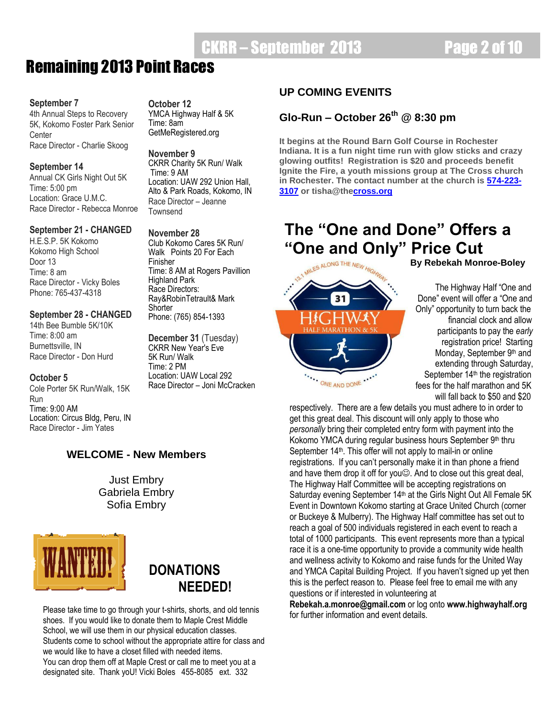# CKRR – September 2013 Page 2 of 10

### Remaining 2013 Point Races

**October 12**

**November 9**

Time: 9 AM

Townsend

Finisher

**Shorter** 

**November 28**

Highland Park Race Directors:

Time: 8am

YMCA Highway Half & 5K

CKRR Charity 5K Run/ Walk

Location: UAW 292 Union Hall, Alto & Park Roads, Kokomo, IN Race Director – Jeanne

Club Kokomo Cares 5K Run/ Walk Points 20 For Each

Time: 8 AM at Rogers Pavillion

Ray&RobinTetrault& Mark

**December 31** (Tuesday) CKRR New Year's Eve 5K Run/ Walk Time: 2 PM

Location: UAW Local 292 Race Director – Joni McCracken

Phone: (765) 854-1393

GetMeRegistered.org

### **September 7**

4th Annual Steps to Recovery 5K, Kokomo Foster Park Senior **Center** Race Director - Charlie Skoog

### **September 14**

Annual CK Girls Night Out 5K Time: 5:00 pm Location: Grace U.M.C. Race Director - Rebecca Monroe

### **September 21 - CHANGED**

H.E.S.P. 5K Kokomo Kokomo High School Door 13 Time: 8 am Race Director - Vicky Boles Phone: 765-437-4318

### **September 28 - CHANGED**

14th Bee Bumble 5K/10K Time: 8:00 am Burnettsville, IN Race Director - Don Hurd

### **October 5**

Cole Porter 5K Run/Walk, 15K Run Time: 9:00 AM Location: Circus Bldg, Peru, IN Race Director - Jim Yates

### **WELCOME - New Members**

Just Embry Gabriela Embry Sofia Embry



### **DONATIONS NEEDED!**

Please take time to go through your t-shirts, shorts, and old tennis shoes. If you would like to donate them to Maple Crest Middle School, we will use them in our physical education classes. Students come to school without the appropriate attire for class and we would like to have a closet filled with needed items. You can drop them off at Maple Crest or call me to meet you at a designated site. Thank yoU! Vicki Boles 455-8085 ext. 332

### **UP COMING EVENITS**

### **Glo-Run – October 26th @ 8:30 pm**

**It begins at the Round Barn Golf Course in Rochester Indiana. It is a fun night time run with glow sticks and crazy glowing outfits! Registration is \$20 and proceeds benefit Ignite the Fire, a youth missions group at The Cross church in Rochester. The contact number at the church is [574-223-](tel:574-223-3107) [3107](tel:574-223-3107) or tisha@th[ecross.org](http://cross.org/)**

### **The "One and Done" Offers a "One and Only" Price Cut**



 The Highway Half "One and **31** Done" event will offer a "One and Only" opportunity to turn back the financial clock and allow participants to pay the *early*  registration price! Starting Monday, September 9<sup>th</sup> and extending through Saturday, September  $14<sup>th</sup>$  the registration<br>fees for the half marathon and 5K fees for the half marathon and 5K will fall back to \$50 and \$20

respectively. There are a few details you must adhere to in order to get this great deal. This discount will only apply to those who *personally* bring their completed entry form with payment into the Kokomo YMCA during regular business hours September 9th thru September 14<sup>th</sup>. This offer will not apply to mail-in or online registrations. If you can't personally make it in than phone a friend and have them drop it off for you $\odot$ . And to close out this great deal, The Highway Half Committee will be accepting registrations on Saturday evening September 14<sup>th</sup> at the Girls Night Out All Female 5K Event in Downtown Kokomo starting at Grace United Church (corner or Buckeye & Mulberry). The Highway Half committee has set out to reach a goal of 500 individuals registered in each event to reach a total of 1000 participants. This event represents more than a typical race it is a one-time opportunity to provide a community wide health and wellness activity to Kokomo and raise funds for the United Way and YMCA Capital Building Project. If you haven't signed up yet then this is the perfect reason to. Please feel free to email me with any questions or if interested in volunteering at

**Rebekah.a.monroe@gmail.com** or log onto **www.highwayhalf.org** for further information and event details.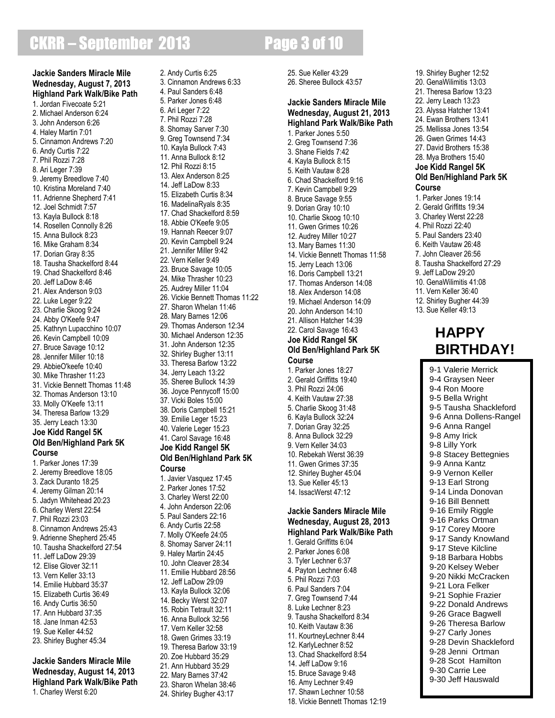# CKRR – September 2013 Page 3 of 10

**Jackie Sanders Miracle Mile Wednesday, August 7, 2013 Highland Park Walk/Bike Path** 1. Jordan Fivecoate 5:21 2. Michael Anderson 6:24 3. John Anderson 6:26 4. Haley Martin 7:01 5. Cinnamon Andrews 7:20 6. Andy Curtis 7:22 7. Phil Rozzi 7:28 8. Ari Leger 7:39 9. Jeremy Breedlove 7:40 10. Kristina Moreland 7:40 11. Adrienne Shepherd 7:41 12. Joel Schmidt 7:57 13. Kayla Bullock 8:18 14. Rosellen Connolly 8:26 15. Anna Bullock 8:23 16. Mike Graham 8:34 17. Dorian Gray 8:35 18. Tausha Shackelford 8:44 19. Chad Shackelford 8:46 20. Jeff LaDow 8:46 21. Alex Anderson 9:03 22. Luke Leger 9:22 23. Charlie Skoog 9:24 24. Abby O'Keefe 9:47 25. Kathryn Lupacchino 10:07 26. Kevin Campbell 10:09 27. Bruce Savage 10:12 28. Jennifer Miller 10:18 29. AbbieO'keefe 10:40 30. Mike Thrasher 11:23 31. Vickie Bennett Thomas 11:48 32. Thomas Anderson 13:10 33. Molly O'Keefe 13:11 34. Theresa Barlow 13:29 35. Jerry Leach 13:30 **Joe Kidd Rangel 5K Old Ben/Highland Park 5K Course** 1. Parker Jones 17:39 2. Jeremy Breedlove 18:05 3. Zack Duranto 18:25 4. Jeremy Gilman 20:14 5. Jadyn Whitehead 20:23 6. Charley Werst 22:54 7. Phil Rozzi 23:03

8. Cinnamon Andrews 25:43 9. Adrienne Shepherd 25:45 10. Tausha Shackelford 27:54 11. Jeff LaDow 29:39 12. Elise Glover 32:11 13. Vern Keller 33:13 14. Emilie Hubbard 35:37

15. Elizabeth Curtis 36:49

16. Andy Curtis 36:50

- 17. Ann Hubbard 37:35
- 18. Jane Inman 42:53
- 19. Sue Keller 44:52 23. Shirley Bugher 45:34

**Jackie Sanders Miracle Mile Wednesday, August 14, 2013 Highland Park Walk/Bike Path**

1. Charley Werst 6:20

2. Andy Curtis 6:25 3. Cinnamon Andrews 6:33 4. Paul Sanders 6:48 5. Parker Jones 6:48 6. Ari Leger 7:22 7. Phil Rozzi 7:28 8. Shomay Sarver 7:30 9. Greg Townsend 7:34 10. Kayla Bullock 7:43 11. Anna Bullock 8:12 12. Phil Rozzi 8:15 13. Alex Anderson 8:25 14. Jeff LaDow 8:33 15. Elizabeth Curtis 8:34 16. MadelinaRyals 8:35 17. Chad Shackelford 8:59 18. Abbie O'Keefe 9:05 19. Hannah Reecer 9:07 20. Kevin Campbell 9:24 21. Jennifer Miller 9:42 22. Vern Keller 9:49 23. Bruce Savage 10:05 24. Mike Thrasher 10:23 25. Audrey Miller 11:04 26. Vickie Bennett Thomas 11:22 27. Sharon Whelan 11:46 28. Mary Barnes 12:06 29. Thomas Anderson 12:34 30. Michael Anderson 12:35 31. John Anderson 12:35 32. Shirley Bugher 13:11 33. Theresa Barlow 13:22 34. Jerry Leach 13:22 35. Sheree Bullock 14:39 36. Joyce Pennycoff 15:00 37. Vicki Boles 15:00 38. Doris Campbell 15:21 39. Emilie Leger 15:23 40. Valerie Leger 15:23 41. Carol Savage 16:48 **Joe Kidd Rangel 5K Old Ben/Highland Park 5K Course** 1. Javier Vasquez 17:45 2. Parker Jones 17:52 3. Charley Werst 22:00 4. John Anderson 22:06 5. Paul Sanders 22:16 6. Andy Curtis 22:58 7. Molly O'Keefe 24:05 8. Shomay Sarver 24:11 9. Haley Martin 24:45 10. John Cleaver 28:34 11. Emilie Hubbard 28:56 12. Jeff LaDow 29:09 13. Kayla Bullock 32:06 14. Becky Werst 32:07 15. Robin Tetrault 32:11

- 16. Anna Bullock 32:56 17. Vern Keller 32:58
- 18. Gwen Grimes 33:19
- 19. Theresa Barlow 33:19
- 20. Zoe Hubbard 35:29
- 21. Ann Hubbard 35:29
- 22. Mary Barnes 37:42
- 23. Sharon Whelan 38:46
- 24. Shirley Bugher 43:17

25. Sue Keller 43:29 26. Sheree Bullock 43:57

### **Jackie Sanders Miracle Mile Wednesday, August 21, 2013 Highland Park Walk/Bike Path**

1. Parker Jones 5:50 2. Greg Townsend 7:36 3. Shane Fields 7:42 4. Kayla Bullock 8:15 5. Keith Vautaw 8:28 6. Chad Shackelford 9:16 7. Kevin Campbell 9:29 8. Bruce Savage 9:55 9. Dorian Gray 10:10 10. Charlie Skoog 10:10 11. Gwen Grimes 10:26 12. Audrey Miller 10:27 13. Mary Barnes 11:30 14. Vickie Bennett Thomas 11:58 15. Jerry Leach 13:06 16. Doris Campbell 13:21 17. Thomas Anderson 14:08 18. Alex Anderson 14:08 19. Michael Anderson 14:09 20. John Anderson 14:10 21. Allison Hatcher 14:39 22. Carol Savage 16:43 **Joe Kidd Rangel 5K**

### **Old Ben/Highland Park 5K Course**

1. Parker Jones 18:27 2. Gerald Griffitts 19:40 3. Phil Rozzi 24:06 4. Keith Vautaw 27:38 5. Charlie Skoog 31:48 6. Kayla Bullock 32:24 7. Dorian Gray 32:25 8. Anna Bullock 32:29 9. Vern Keller 34:03 10. Rebekah Werst 36:39 11. Gwen Grimes 37:35 12. Shirley Bugher 45:04 13. Sue Keller 45:13 14. IssacWerst 47:12

### **Jackie Sanders Miracle Mile Wednesday, August 28, 2013 Highland Park Walk/Bike Path**

1. Gerald Griffitts 6:04 2. Parker Jones 6:08 3. Tyler Lechner 6:37 4. Payton Lechner 6:48 5. Phil Rozzi 7:03 6. Paul Sanders 7:04 7. Greg Townsend 7:44 8. Luke Lechner 8:23 9. Tausha Shackelford 8:34 10. Keith Vautaw 8:36 11. KourtneyLechner 8:44 12. KarlyLechner 8:52 13. Chad Shackelford 8:54 14. Jeff LaDow 9:16 15. Bruce Savage 9:48 16. Amy Lechner 9:49 17. Shawn Lechner 10:58 18. Vickie Bennett Thomas 12:19

20. GenaWilimitis 13:03 21. Theresa Barlow 13:23 22. Jerry Leach 13:23 23. Alyssa Hatcher 13:41 24. Ewan Brothers 13:41 25. Mellissa Jones 13:54 26. Gwen Grimes 14:43 27. David Brothers 15:38 28. Mya Brothers 15:40 **Joe Kidd Rangel 5K Old Ben/Highland Park 5K Course** 1. Parker Jones 19:14 2. Gerald Griffitts 19:34 3. Charley Werst 22:28 4. Phil Rozzi 22:40 5. Paul Sanders 23:40 6. Keith Vautaw 26:48 7. John Cleaver 26:56 8. Tausha Shackelford 27:29 9. Jeff LaDow 29:20 10. GenaWilimitis 41:08 11. Vern Keller 36:40 12. Shirley Bugher 44:39 13. Sue Keller 49:13

19. Shirley Bugher 12:52

### **HAPPY BIRTHDAY!**

**!** 9-1 Valerie Merrick 9-4 Graysen Neer 9-4 Ron Moore 9-5 Bella Wright 9-5 Tausha Shackleford 9-6 Anna Dollens-Rangel 9-6 Anna Rangel 9-8 Amy Irick 9-8 Lilly York 9-8 Stacey Bettegnies 9-9 Anna Kantz 9-9 Vernon Keller 9-13 Earl Strong 9-14 Linda Donovan 9-16 Bill Bennett 9-16 Emily Riggle 9-16 Parks Ortman 9-17 Corey Moore 9-17 Sandy Knowland 9-17 Steve Kilcline 9-18 Barbara Hobbs 9-20 Kelsey Weber 9-20 Nikki McCracken 9-21 Lora Felker 9-21 Sophie Frazier 9-22 Donald Andrews 9-26 Grace Bagwell 9-26 Theresa Barlow 9-27 Carly Jones 9-28 Devin Shackleford 9-28 Jenni Ortman 9-28 Scot Hamilton 9-30 Carrie Lee 9-30 Jeff Hauswald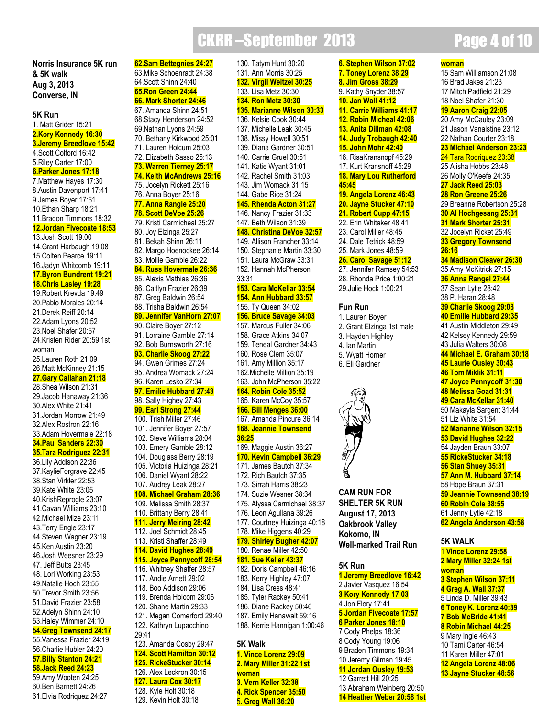### CKRR –September 2013 Page 4 of 10

**Norris Insurance 5K run & 5K walk Aug 3, 2013 Converse, IN**

### **5K Run** 1. Matt Grider 15:21

**2.Kory Kennedy 16:30 3.Jeremy Breedlove 15:42** 4.Scott Colford 16:42 5.Riley Carter 17:00 **6.Parker Jones 17:18**

### 7.Matthew Hayes 17:30 8.Austin Davenport 17:41

9.James Boyer 17:51 10.Ethan Sharp 18:21 11.Bradon Timmons 18:32 **12.Jordan Fivecoate 18:53** 13.Josh Scott 19:00

14.Grant Harbaugh 19:08 15.Colten Pearce 19:11 16.Jadyn Whitcomb 19:11 **17.Byron Bundrent 19:21**

### **18.Chris Lasley 19:28**

19.Robert Krevda 19:49 20.Pablo Morales 20:14 21.Derek Reiff 20:14 22.Adam Lyons 20:52 23.Noel Shafer 20:57 24.Kristen Rider 20:59 1st woman 25.Lauren Roth 21:09 26.Matt McKinney 21:15

### **27.Gary Callahan 21:18**

28.Shea Wilson 21:31 29.Jacob Hanaway 21:36 30.Alex White 21:41 31.Jordan Morrow 21:49 32.Alex Rostron 22:16 33.Adam Hovermale 22:18 **34.Paul Sanders 22:30**

### **35.Tara Rodriguez 22:31**

36.Lily Addison 22:36 37.KaylieForgrave 22:45 38.Stan Virkler 22:53 39.Kate White 23:05 40.KrishReprogle 23:07 41.Cavan Williams 23:10 42.Michael Mize 23:11 43.Terry Engle 23:17 44.Steven Wagner 23:19 45.Ken Austin 23:20 46.Josh Weesner 23:29 47. Jeff Butts 23:45 48. Lori Working 23:53 49.Natalie Hoch 23:55 50.Trevor Smith 23:56 51.David Frazier 23:58 52.Adelyn Shinn 24:10 53.Haley Wimmer 24:10 **54.Greg Townsend 24:17** 55.Vanessa Frazier 24:19 56.Charlie Hubler 24:20 **57.Billy Stanton 24:21 58.Jack Reed 24:23**

59.Amy Wooten 24:25 60.Ben Barnett 24:26 61.Elvia Rodriquez 24:27 **62.Sam Bettegnies 24:27** 63.Mike Schoenradt 24:38 64.Scott Shinn 24:40 **65.Ron Green 24:44 66. Mark Shorter 24:46** 67. Amanda Shinn 24:51 68.Stacy Henderson 24:52 69.Nathan Lyons 24:59 70. Bethany Kirkwood 25:01 71. Lauren Holcum 25:03 72. Elizabeth Sasso 25:13 **73. Warren Tierney 25:17 74. Keith McAndrews 25:16** 75. Jocelyn Rickett 25:16 76. Anna Boyer 25:16 **77. Anna Rangle 25:20 78. Scott DeVoe 25:26** 79. Kristi Carmicheal 25:27 80. Joy Elzinga 25:27 81. Bekah Shinn 26:11 82. Margo Hoenockee 26:14 83. Mollie Gamble 26:22 **84. Russ Hovermale 26:36** 85. Alexis Mathias 26:36 86. Caitlyn Frazier 26:39 87. Greg Baldwin 26:54 88. Trisha Baldwin 26:54 **89. Jennifer VanHorn 27:07** 90. Claire Boyer 27:12 91. Lorraine Gamble 27:14 92. Bob Burnsworth 27:16 **93. Charlie Skoog 27:22** 94. Gwen Grimes 27:24 95. Andrea Womack 27:24 96. Karen Lesko 27:34 **97. Emilie Hubbard 27:43** 98. Sally Highey 27:43 **99. Earl Strong 27:44** 100. Trish Miller 27:46 101. Jennifer Boyer 27:57 102. Steve Williams 28:04 103. Emery Gamble 28:12 104. Douglass Berry 28:19 105. Victoria Huizinga 28:21 106. Daniel Wyant 28:22 107. Audrey Leak 28:27 **108. Michael Graham 28:36** 109. Melissa Smith 28:37 110. Brittany Berry 28:41 **111. Jerry Meiring 28:42** 112. Joel Schmidt 28:45 113. Kristi Shaffer 28:49 **114. David Hughes 28:49 115. Joyce Pennycoff 28:54**

116. Whitney Shaffer 28:57 117. Andie Arnett 29:02 118. Boo Addison 29:06 119. Brenda Holcom 29:06 120. Shane Martin 29:33 121. Megan Comerford 29:40 122. Kathryn Lupacchino 29:41 123. Amanda Cosby 29:47

#### **124. Scott Hamilton 30:12 125. RickeStucker 30:14** 126. Alex Leckron 30:15 **127. Laura Cox 30:17** 128. Kyle Holt 30:18

129. Kevin Holt 30:18

130. Tatym Hunt 30:20 131. Ann Morris 30:25 **132. Virgil Weitzel 30:25** 133. Lisa Metz 30:30 **134. Ron Metz 30:30 135. Marianne Wilson 30:33** 136. Kelsie Cook 30:44 137. Michelle Leak 30:45 138. Missy Howell 30:51 139. Diana Gardner 30:51 140. Carrie Gruel 30:51 141. Katie Wyant 31:01 142. Rachel Smith 31:03 143. Jim Womack 31:15 144. Gabe Rice 31:24 **145. Rhenda Acton 31:27** 146. Nancy Frazier 31:33 147. Beth Wilson 31:39 **148. Christina DeVoe 32:57** 149. Allison Francher 33:14 150. Stephanie Martin 33:30 151. Laura McGraw 33:31 152. Hannah McPherson 33:31 **153. Cara McKellar 33:54 154. Ann Hubbard 33:57** 155. Ty Queen 34:02 **156. Bruce Savage 34:03** 157. Marcus Fuller 34:06 158. Grace Atkins 34:07 159. Teneal Gardner 34:43 160. Rose Clem 35:07 161. Amy Million 35:17 162.Michelle Million 35:19 163. John McPherson 35:22 **164. Robin Cole 35:52** 165. Karen McCoy 35:57 **166. Bill Menges 36:00** 167. Amanda Pincure 36:14 **168. Jeannie Townsend 36:25** 169. Maggie Austin 36:27 **170. Kevin Campbell 36:29** 171. James Bautch 37:34 172. Rich Bautch 37:35 173. Sirrah Harris 38:23 174. Suzie Wesner 38:34 175. Alyssa Carmichael 38:37 176. Leon Agullana 39:26 177. Courtney Huizinga 40:18 178. Mike Higgens 40:29 **179. Shirley Bugher 42:07** 180. Renae Miller 42:50 **181. Sue Keller 43:37** 182. Doris Campbell 46:16 183. Kerry Highley 47:07 184. Lisa Cress 48:41 185. Tyler Rackey 50:41 186. Diane Rackey 50:46

187. Emily Hanawalt 59:16 188. Kerrie Hannigan 1:00:46

### **5K Walk**

**1. Vince Lorenz 29:09 2. Mary Miller 31:22 1st woman 3. Vern Keller 32:38 4. Rick Spencer 35:50** 5**. Greg Wall 36:20**

**6. Stephen Wilson 37:02 7. Toney Lorenz 38:29 8. Jim Gross 38:29** 9. Kathy Snyder 38:57 **10. Jan Wall 41:12 11. Carrie Williams 41:17 12. Robin Micheal 42:06 13. Anita Dillman 42:08 14. Judy Trobaugh 42:40 15. John Mohr 42:40** 16. RisaKransnopf 45:29 17. Kurt Kransnoff 45:29 **18. Mary Lou Rutherford 45:45 19. Angela Lorenz 46:43 20. Jayne Stucker 47:10 21. Robert Cupp 47:15** 22. Erin Whitaker 48:41 23. Carol Miller 48:45 24. Dale Tetrick 48:59 25. Mark Jones 48:59 **26. Carol Savage 51:12** 27. Jennifer Ramsey 54:53 28. Rhonda Price 1:00:21 29.Julie Hock 1:00:21

### **Fun Run**

1. Lauren Boyer 2. Grant Elzinga 1st male 3. Hayden Highley

- 4. Ian Martin
- 5. Wyatt Horner
- 6. Eli Gardner



#### **CAM RUN FOR SHELTER 5K RUN August 17, 2013 Oakbrook Valley Kokomo, IN Well-marked Trail Run**

#### **5K Run**

**1 Jeremy Breedlove 16:42** 2 Javier Vasquez 16:54 **3 Kory Kennedy 17:03** 4 Jon Flory 17:41 **5 Jordan Fivecoate 17:57 6 Parker Jones 18:10** 7 Cody Phelps 18:36 8 Cody Young 19:06 9 Braden Timmons 19:34 10 Jeremy Gilman 19:45 **11 Jordan Ousley 19:53** 12 Garrett Hill 20:25 13 Abraham Weinberg 20:50 **14 Heather Weber 20:58 1st** 

15 Sam Williamson 21:08

**woman**

16 Brad Jakes 21:23 17 Mitch Padfield 21:29 18 Noel Shafer 21:30 **19 Aaron Craig 22:05** 20 Amy McCauley 23:09 21 Jason Vanalstine 23:12 22 Nathan Courter 23:18 **23 Michael Anderson 23:23** 24 Tara Rodriquez 23:38 25 Alisha Hobbs 23:48 26 Molly O'Keefe 24:35 **27 Jack Reed 25:03 28 Ron Greene 25:26** 29 Breanne Robertson 25:28 **30 Al Hochgesang 25:31 31 Mark Shorter 25:31** 32 Jocelyn Ricket 25:49 **33 Gregory Townsend 26:16 34 Madison Cleaver 26:30** 35 Amy McKitrick 27:15 **36 Anna Rangel 27:44** 37 Sean Lytle 28:42 38 P. Haran 28:48 **39 Charlie Skoog 29:08 40 Emilie Hubbard 29:35** 41 Austin Middleton 29:49 42 Kelsey Kennedy 29:59 43 Julia Walters 30:08 **44 Michael E. Graham 30:18 45 Laurie Ousley 30:43 46 Tom Miklik 31:11 47 Joyce Pennycoff 31:30 48 Melissa Goad 31:31 49 Cara McKellar 31:40** 50 Makayla Sargent 31:44 51 Liz White 31:54 **52 Marianne Wilson 32:15 53 David Hughes 32:22** 54 Jayden Braun 33:07 **55 RickeStucker 34:18 56 Stan Shuey 35:31 57 Ann M. Hubbard 37:14** 58 Hope Braun 37:31 **59 Jeannie Townsend 38:19 60 Robin Cole 38:55** 61 Jenny Lytle 42:18 **62 Angela Anderson 43:58**

### **5K WALK**

1 **Vince Lorenz 29:58 2 Mary Miller 32:24 1st woman 3 Stephen Wilson 37:11 4 Greg A. Wall 37:37** 5 Linda D. Miller 39:43 **6 Toney K. Lorenz 40:39 7 Bob McBride 41:41 8 Robin Michael 44:25** 9 Mary Ingle 46:43 10 Tami Carter 46:54 11 Karen Miller 47:01 **12 Angela Lorenz 48:06 13 Jayne Stucker 48:56**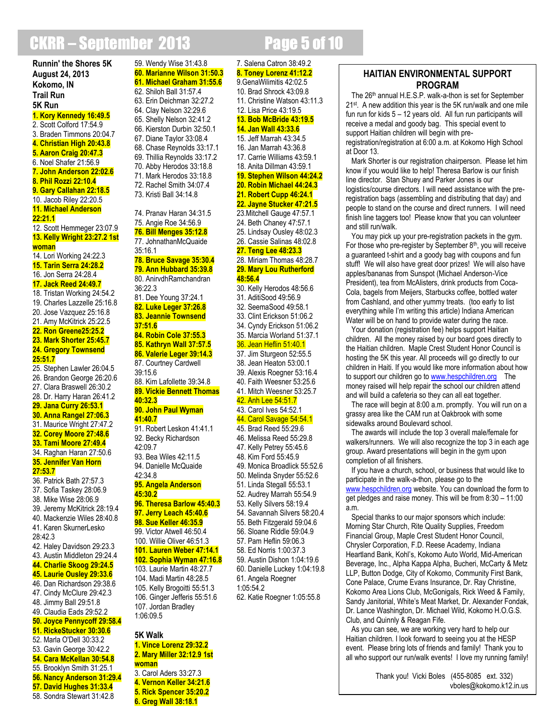# CKRR – September 2013 Page 5 of 10

**Trail Run 5K Run**

**22:21.1**

**woman**

**25:51.7**

**27:53.7**

28:42.3

#### **Runnin' the Shores 5K August 24, 2013 Kokomo, IN 1. Kory Kennedy 16:49.5** 2. Scott Colford 17:54.9 3. Braden Timmons 20:04.7 **4. Christian High 20:43.8 5. Aaron Craig 20:47.3** 6. Noel Shafer 21:56.9 **7. John Anderson 22:02.6 8. Phil Rozzi 22:10.4 9. Gary Callahan 22:18.5** 10. Jacob Riley 22:20.5 **11. Michael Anderson**  12. Scott Hemmeger 23:07.9 **13. Kelly Wright 23:27.2 1st**  14. Lori Working 24:22.3 **15. Tarin Serra 24:28.2** 16. Jon Serra 24:28.4 **17. Jack Reed 24:49.7** 18. Tristan Working 24:54.2 19. Charles Lazzelle 25:16.8 20. Jose Vazquez 25:16.8 21. Amy McKitrick 25:22.5 **22. Ron Greene25:25.2 23. Mark Shorter 25:45.7 24. Gregory Townsend**  25. Stephen Lawler 26:04.5 26. Brandon George 26:20.6 27. Clara Braswell 26:30.2 28. Dr. Harry Haran 26:41.2 **29. Jana Curry 26:53.1 30. Anna Rangel 27:06.3** 31. Maurice Wright 27:47.2 **32. Corey Moore 27:48.6 33. Tami Moore 27:49.4** 34. Raghan Haran 27:50.6 **35. Jennifer Van Horn**  36. Patrick Bath 27:57.3 37. Sofia Taskey 28:06.9 38. Mike Wise 28:06.9 39. Jeremy McKitrick 28:19.4 40. Mackenzie Wiles 28:40.8 41. Karen SkurnerLesko 42. Haley Davidson 29:23.3 43. Austin Middleton 29:24.4 **44. Charlie Skoog 29:24.5 45. Laurie Ousley 29:33.6** 46. Dan Richardson 29:38.6 47. Cindy McClure 29:42.3 48. Jimmy Ball 29:51.8 49. Claudia Eads 29:52.2 **50. Joyce Pennycoff 29:58.4 51. RickeStucker 30:30.6** 52. Marla O'Dell 30:33.2 53. Gavin George 30:42.2 **54. Cara McKellan 30:54.8** 55. Brooklyn Smith 31:25.1 **56. Nancy Anderson 31:29.4** 35:16.1 36:22.3 **37:51.6** 39:15.6 **40:32.3 41:40.7** 42:09.7 42:34.8 **45:30.2** 107. Jordan Bradley 1:06:09.5 **5K Walk woman** 3. Carol Aders 33:27.3 **4. Vernon Keller 34:21.6**

59. Wendy Wise 31:43.8 **60. Marianne Wilson 31:50.3 61. Michael Graham 31:55.6** 62. Shiloh Ball 31:57.4 63. Erin Deichman 32:27.2 64. Clay Nelson 32:29.6 65. Shelly Nelson 32:41.2 66. Kierston Durbin 32:50.1 67. Diane Taylor 33:08.4 68. Chase Reynolds 33:17.1 69. Thillia Reynolds 33:17.2 70. Abby Herodos 33:18.8 71. Mark Herodos 33:18.8 72. Rachel Smith 34:07.4 73. Kristi Ball 34:14.8 74. Pranav Haran 34:31.5 75. Angie Roe 34:56.9 **76. Bill Menges 35:12.8** 77. JohnathanMcQuaide **78. Bruce Savage 35:30.4 79. Ann Hubbard 35:39.8** 80. AnirvdhRamchandran 81. Dee Young 37:24.1 **82. Luke Leger 37:26.8 83. Jeannie Townsend 84. Robin Cole 37:55.3 85. Kathryn Wall 37:57.5 86. Valerie Leger 39:14.3** 87. Courtney Cardwell 88. Kim Lafollette 39:34.8 **89. Vickie Bennett Thomas 90. John Paul Wyman**  91. Robert Leskon 41:41.1 92. Becky Richardson 93. Bea Wiles 42:11.5 94. Danielle McQuaide **95. Angela Anderson 96. Theresa Barlow 45:40.3 97. Jerry Leach 45:40.6 98. Sue Keller 46:35.9** 99. Victor Atwell 46:50.4 100. Willie Oliver 46:51.3 **101. Lauren Weber 47:14.1 102. Sophia Wyman 47:16.8** 103. Laurie Martin 48:27.7 104. Madi Martin 48:28.5 105. Kelly Brogoitti 55:51.3 106. Ginger Jefferis 55:51.6 **1. Vince Lorenz 29:32.2 2. Mary Miller 32:12.9 1st**  7. Salena Catron 38:49.2

#### **8. Toney Lorenz 41:12.2** 9.GenaWilimitis 42:02.5 10. Brad Shrock 43:09.8 11. Christine Watson 43:11.3 12. Lisa Price 43:19.5 **13. Bob McBride 43:19.5 14. Jan Wall 43:33.6** 15. Jeff Marrah 43:34.5 16. Jan Marrah 43:36.8 17. Carrie Williams 43:59.1 18. Anita Dillman 43:59.1 **19. Stephen Wilson 44:24.2 20. Robin Michael 44:24.3 21. Robert Cupp 46:24.1 22. Jayne Stucker 47:21.5** 23.Mitchell Gauge 47:57.1 24. Beth Chaney 47:57.1 25. Lindsay Ousley 48:02.3 26. Cassie Salinas 48:02.8 **27. Teng Lee 48:23.3** 28. Miriam Thomas 48:28.7 **29. Mary Lou Rutherford 48:56.4** 30. Kelly Herodos 48:56.6 31. AditiSood 49:56.9 32. SeemaSood 49:58.1 33. Clint Erickson 51:06.2 34. Cyndy Erickson 51:06.2 35. Marcia Worland 51:37.1 36. Jean Heflin 51:40.1 37. Jim Sturgeon 52:55.5 38. Jean Heaton 53:00.1 39. Alexis Roegner 53:16.4 40. Faith Weesner 53:25.6 41. Mitch Weesner 53:25.7 42. Anh Lee 54:51.7 43. Carol Ives 54:52.1 44. Carol Savage 54:54.1 45. Brad Reed 55:29.6 46. Melissa Reed 55:29.8 47. Kelly Petrey 55:45.6 48. Kim Ford 55:45.9 49. Monica Broadlick 55:52.6 50. Melinda Snyder 55:52.6 51. Linda Stegall 55:53.1 52. Audrey Marrah 55:54.9 53. Kelly Silvers 58:19.4 54. Savannah Silvers 58:20.4 55. Beth Fitzgerald 59:04.6 56. Sloane Riddle 59:04.9 57. Pam Heflin 59:06.3 58. Ed Norris 1:00:37.3 59. Austin Dishon 1:04:19.6 60. Danielle Luckey 1:04:19.8 61. Angela Roegner 1:05:54.2 62. Katie Roegner 1:05:55.8

### **HAITIAN ENVIRONMENTAL SUPPORT PROGRAM**

The 26<sup>th</sup> annual H.E.S.P. walk-a-thon is set for September 21<sup>st</sup>. A new addition this year is the 5K run/walk and one mile fun run for kids 5 – 12 years old. All fun run participants will receive a medal and goody bag. This special event to support Haitian children will begin with preregistration/registration at 6:00 a.m. at Kokomo High School at Door 13.

 Mark Shorter is our registration chairperson. Please let him know if you would like to help! Theresa Barlow is our finish line director. Stan Shuey and Parker Jones is our logistics/course directors. I will need assistance with the preregistration bags (assembling and distributing that day) and people to stand on the course and direct runners. I will need finish line taggers too! Please know that you can volunteer and still run/walk.

 You may pick up your pre-registration packets in the gym. For those who pre-register by September  $8<sup>th</sup>$ , you will receive a guaranteed t-shirt and a goody bag with coupons and fun stuff! We will also have great door prizes! We will also have apples/bananas from Sunspot (Michael Anderson-Vice President), tea from McAlisters, drink products from Coca-Cola, bagels from Meijers, Starbucks coffee, bottled water from Cashland, and other yummy treats. (too early to list everything while I"m writing this article) Indiana American Water will be on hand to provide water during the race.

 Your donation (registration fee) helps support Haitian children. All the money raised by our board goes directly to the Haitian children. Maple Crest Student Honor Council is hosting the 5K this year. All proceeds will go directly to our children in Haiti. If you would like more information about how to support our children go t[o www.hespchildren.org](http://www.hespchildren.org/) The money raised will help repair the school our children attend and will build a cafeteria so they can all eat together.

 The race will begin at 8:00 a.m. promptly. You will run on a grassy area like the CAM run at Oakbrook with some sidewalks around Boulevard school.

 The awards will include the top 3 overall male/female for walkers/runners. We will also recognize the top 3 in each age group. Award presentations will begin in the gym upon completion of all finishers.

 If you have a church, school, or business that would like to participate in the walk-a-thon, please go to the [www.hespchildren.org](http://www.hespchildren.org/) website. You can download the form to get pledges and raise money. This will be from 8:30 – 11:00 a.m.

 Special thanks to our major sponsors which include: Morning Star Church, Rite Quality Supplies, Freedom Financial Group, Maple Crest Student Honor Council, Chrysler Corporation, F.D. Reese Academy, Indiana Heartland Bank, Kohl"s, Kokomo Auto World, Mid-American Beverage, Inc., Alpha Kappa Alpha, Bucheri, McCarty & Metz LLP, Button Dodge, City of Kokomo, Community First Bank, Cone Palace, Crume Evans Insurance, Dr. Ray Christine, Kokomo Area Lions Club, McGonigals, Rick Weed & Family, Sandy Janitorial, White"s Meat Market, Dr. Alexander Fondak, Dr. Lance Washington, Dr. Michael Wild, Kokomo H.O.G.S. Club, and Quinnly & Reagan Fife.

 As you can see, we are working very hard to help our Haitian children. I look forward to seeing you at the HESP event. Please bring lots of friends and family! Thank you to all who support our run/walk events! I love my running family!

> Thank you! Vicki Boles (455-8085 ext. 332) vboles@kokomo.k12.in.us

**57. David Hughes 31:33.4** 58. Sondra Stewart 31:42.8

**5. Rick Spencer 35:20.2 6. Greg Wall 38:18.1**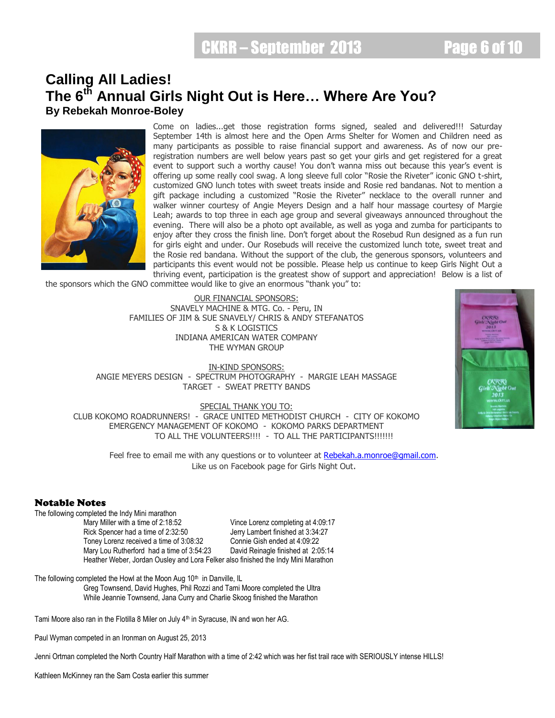## CKRR – September 2013 Page 6 of 10

### **Calling All Ladies! The 6th Annual Girls Night Out is Here… Where Are You? By Rebekah Monroe-Boley**



Come on ladies...get those registration forms signed, sealed and delivered!!! Saturday September 14th is almost here and the Open Arms Shelter for Women and Children need as many participants as possible to raise financial support and awareness. As of now our preregistration numbers are well below years past so get your girls and get registered for a great event to support such a worthy cause! You don't wanna miss out because this year's event is offering up some really cool swag. A long sleeve full color "Rosie the Riveter" iconic GNO t-shirt, customized GNO lunch totes with sweet treats inside and Rosie red bandanas. Not to mention a gift package including a customized "Rosie the Riveter" necklace to the overall runner and walker winner courtesy of Angie Meyers Design and a half hour massage courtesy of Margie Leah; awards to top three in each age group and several giveaways announced throughout the evening. There will also be a photo opt available, as well as yoga and zumba for participants to enjoy after they cross the finish line. Don't forget about the Rosebud Run designed as a fun run for girls eight and under. Our Rosebuds will receive the customized lunch tote, sweet treat and the Rosie red bandana. Without the support of the club, the generous sponsors, volunteers and participants this event would not be possible. Please help us continue to keep Girls Night Out a thriving event, participation is the greatest show of support and appreciation! Below is a list of

the sponsors which the GNO committee would like to give an enormous "thank you" to:

OUR FINANCIAL SPONSORS: SNAVELY MACHINE & MTG. Co. - Peru, IN FAMILIES OF JIM & SUE SNAVELY/ CHRIS & ANDY STEFANATOS S & K LOGISTICS INDIANA AMERICAN WATER COMPANY THE WYMAN GROUP

IN-KIND SPONSORS: ANGIE MEYERS DESIGN - SPECTRUM PHOTOGRAPHY - MARGIE LEAH MASSAGE TARGET - SWEAT PRETTY BANDS

SPECIAL THANK YOU TO: CLUB KOKOMO ROADRUNNERS! - GRACE UNITED METHODIST CHURCH - CITY OF KOKOMO EMERGENCY MANAGEMENT OF KOKOMO - KOKOMO PARKS DEPARTMENT TO ALL THE VOLUNTEFRS!!!! - TO ALL THE PARTICIPANTS!!!!!!!

> Feel free to email me with any questions or to volunteer at [Rebekah.a.monroe@gmail.com.](mailto:Rebekah.a.monroe@gmail.com) Like us on Facebook page for Girls Night Out.

### Notable Notes

The following completed the Indy Mini marathon<br>Mary Miller with a time of 2:18:52

Rick Spencer had a time of 2:32:50 Jerry Lambert finished at 3:34:27 Toney Lorenz received a time of 3:08:32 Connie Gish ended at 4:09:22 Mary Lou Rutherford had a time of 3:54:23 David Reinagle finished at 2:05:14 Heather Weber, Jordan Ousley and Lora Felker also finished the Indy Mini Marathon

Vince Lorenz completing at 4:09:17

The following completed the Howl at the Moon Aug 10<sup>th</sup> in Danville, IL

Greg Townsend, David Hughes, Phil Rozzi and Tami Moore completed the Ultra While Jeannie Townsend, Jana Curry and Charlie Skoog finished the Marathon

Tami Moore also ran in the Flotilla 8 Miler on July 4<sup>th</sup> in Syracuse, IN and won her AG.

Paul Wyman competed in an Ironman on August 25, 2013

Jenni Ortman completed the North Country Half Marathon with a time of 2:42 which was her fist trail race with SERIOUSLY intense HILLS!

Kathleen McKinney ran the Sam Costa earlier this summer

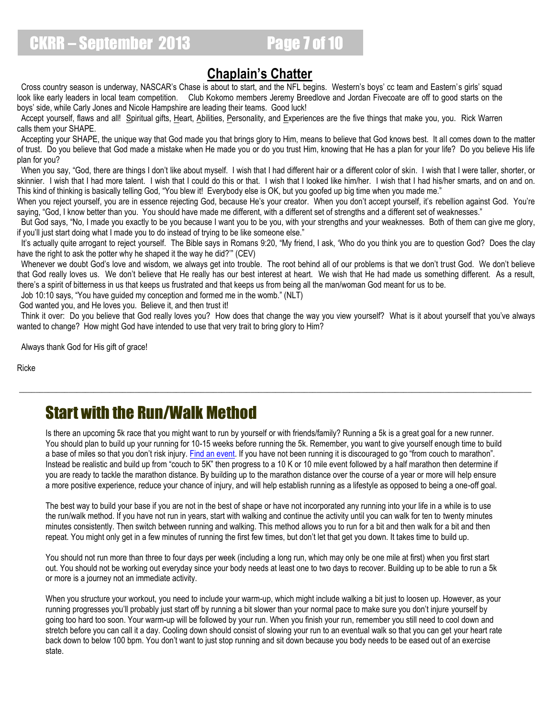### CKRR – September 2013 Page 7 of 10

### **Chaplain's Chatter**

 Cross country season is underway, NASCAR"s Chase is about to start, and the NFL begins. Western"s boys" cc team and Eastern"s girls" squad look like early leaders in local team competition. Club Kokomo members Jeremy Breedlove and Jordan Fivecoate are off to good starts on the boys" side, while Carly Jones and Nicole Hampshire are leading their teams. Good luck!

Accept yourself, flaws and all! Spiritual gifts, Heart, Abilities, Personality, and Experiences are the five things that make you, you. Rick Warren calls them your SHAPE.

 Accepting your SHAPE, the unique way that God made you that brings glory to Him, means to believe that God knows best. It all comes down to the matter of trust. Do you believe that God made a mistake when He made you or do you trust Him, knowing that He has a plan for your life? Do you believe His life plan for you?

When you say, "God, there are things I don't like about myself. I wish that I had different hair or a different color of skin. I wish that I were taller, shorter, or skinnier. I wish that I had more talent. I wish that I could do this or that. I wish that I looked like him/her. I wish that I had his/her smarts, and on and on. This kind of thinking is basically telling God, "You blew it! Everybody else is OK, but you goofed up big time when you made me."

When you reject yourself, you are in essence rejecting God, because He's your creator. When you don't accept yourself, it's rebellion against God. You're saying, "God, I know better than you. You should have made me different, with a different set of strengths and a different set of weaknesses."

 But God says, "No, I made you exactly to be you because I want you to be you, with your strengths and your weaknesses. Both of them can give me glory, if you"ll just start doing what I made you to do instead of trying to be like someone else."

 It"s actually quite arrogant to reject yourself. The Bible says in Romans 9:20, "My friend, I ask, "Who do you think you are to question God? Does the clay have the right to ask the potter why he shaped it the way he did?"" (CEV)

Whenever we doubt God's love and wisdom, we always get into trouble. The root behind all of our problems is that we don't trust God. We don't believe that God really loves us. We don"t believe that He really has our best interest at heart. We wish that He had made us something different. As a result, there"s a spirit of bitterness in us that keeps us frustrated and that keeps us from being all the man/woman God meant for us to be.

Job 10:10 says, "You have guided my conception and formed me in the womb." (NLT)

God wanted you, and He loves you. Believe it, and then trust it!

 Think it over: Do you believe that God really loves you? How does that change the way you view yourself? What is it about yourself that you"ve always wanted to change? How might God have intended to use that very trait to bring glory to Him?

Always thank God for His gift of grace!

**Ricke** 

### Start with the Run/Walk Method

Is there an upcoming 5k race that you might want to run by yourself or with friends/family? Running a 5k is a great goal for a new runner. You should plan to build up your running for 10-15 weeks before running the 5k. Remember, you want to give yourself enough time to build a base of miles so that you don't risk injury. [Find an event](http://www.rrca.org/find-an-event/). If you have not been running it is discouraged to go "from couch to marathon". Instead be realistic and build up from "couch to 5K" then progress to a 10 K or 10 mile event followed by a half marathon then determine if you are ready to tackle the marathon distance. By building up to the marathon distance over the course of a year or more will help ensure a more positive experience, reduce your chance of injury, and will help establish running as a lifestyle as opposed to being a one-off goal.

 $\Box$  . The contribution of the contribution of the contribution of the contribution of the contribution of the contribution of the contribution of the contribution of the contribution of the contribution of the contributi

The best way to build your base if you are not in the best of shape or have not incorporated any running into your life in a while is to use the run/walk method. If you have not run in years, start with walking and continue the activity until you can walk for ten to twenty minutes minutes consistently. Then switch between running and walking. This method allows you to run for a bit and then walk for a bit and then repeat. You might only get in a few minutes of running the first few times, but don"t let that get you down. It takes time to build up.

You should not run more than three to four days per week (including a long run, which may only be one mile at first) when you first start out. You should not be working out everyday since your body needs at least one to two days to recover. Building up to be able to run a 5k or more is a journey not an immediate activity.

When you structure your workout, you need to include your warm-up, which might include walking a bit just to loosen up. However, as your running progresses you"ll probably just start off by running a bit slower than your normal pace to make sure you don"t injure yourself by going too hard too soon. Your warm-up will be followed by your run. When you finish your run, remember you still need to cool down and stretch before you can call it a day. Cooling down should consist of slowing your run to an eventual walk so that you can get your heart rate back down to below 100 bpm. You don"t want to just stop running and sit down because you body needs to be eased out of an exercise state.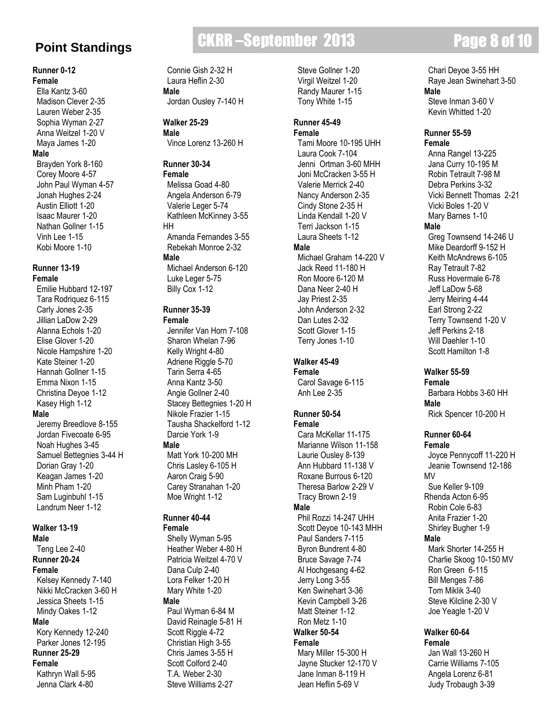### **Point Standings**

### **Runner 0-12**

**Female** Ella Kantz 3-60 Madison Clever 2-35 Lauren Weber 2-35 Sophia Wyman 2-27 Anna Weitzel 1-20 V Maya James 1-20

### **Male**

 Brayden York 8-160 Corey Moore 4-57 John Paul Wyman 4-57 Jonah Hughes 2-24 Austin Elliott 1-20 Isaac Maurer 1-20 Nathan Gollner 1-15 Vinh Lee 1-15 Kobi Moore 1-10

#### **Runner 13-19 Female**

 Emilie Hubbard 12-197 Tara Rodriquez 6-115 Carly Jones 2-35 Jillian LaDow 2-29 Alanna Echols 1-20 Elise Glover 1-20 Nicole Hampshire 1-20 Kate Steiner 1-20 Hannah Gollner 1-15 Emma Nixon 1-15 Christina Deyoe 1-12 Kasey High 1-12 **Male** Jeremy Breedlove 8-155 Jordan Fivecoate 6-95 Noah Hughes 3-45 Samuel Bettegnies 3-44 H Dorian Gray 1-20

 Keagan James 1-20 Minh Pham 1-20 Sam Luginbuhl 1-15 Landrum Neer 1-12

### **Walker 13-19**

**Male** Teng Lee 2-40 **Runner 20-24 Female** Kelsey Kennedy 7-140 Nikki McCracken 3-60 H Jessica Sheets 1-15 Mindy Oakes 1-12 **Male** Kory Kennedy 12-240 Parker Jones 12-195 **Runner 25-29 Female** Kathryn Wall 5-95 Jenna Clark 4-80

# CKRR-September 2013 **Page 8 of 10**

 Connie Gish 2-32 H Laura Heflin 2-30 **Male** Jordan Ousley 7-140 H

**Walker 25-29 Male** Vince Lorenz 13-260 H

### **Runner 30-34**

**Female** Melissa Goad 4-80 Angela Anderson 6-79 Valerie Leger 5-74 Kathleen McKinney 3-55 HH Amanda Fernandes 3-55 Rebekah Monroe 2-32 **Male** Michael Anderson 6-120 Luke Leger 5-75 Billy Cox 1-12

### **Runner 35-39 Female**

 Jennifer Van Horn 7-108 Sharon Whelan 7-96 Kelly Wright 4-80 Adriene Riggle 5-70 Tarin Serra 4-65 Anna Kantz 3-50 Angie Gollner 2-40 Stacey Bettegnies 1-20 H Nikole Frazier 1-15 Tausha Shackelford 1-12 Darcie York 1-9 **Male** Matt York 10-200 MH

 Chris Lasley 6-105 H Aaron Craig 5-90 Carey Stranahan 1-20 Moe Wright 1-12

#### **Runner 40-44 Female**

 Shelly Wyman 5-95 Heather Weber 4-80 H Patricia Weitzel 4-70 V Dana Culp 2-40 Lora Felker 1-20 H Mary White 1-20 **Male** Paul Wyman 6-84 M David Reinagle 5-81 H Scott Riggle 4-72 Christian High 3-55 Chris James 3-55 H Scott Colford 2-40 T.A. Weber 2-30 Steve Williams 2-27

 Steve Gollner 1-20 Virgil Weitzel 1-20 Randy Maurer 1-15 Tony White 1-15

#### **Runner 45-49 Female**

 Tami Moore 10-195 UHH Laura Cook 7-104 Jenni Ortman 3-60 MHH Joni McCracken 3-55 H Valerie Merrick 2-40 Nancy Anderson 2-35 Cindy Stone 2-35 H Linda Kendall 1-20 V Terri Jackson 1-15 Laura Sheets 1-12 **Male** Michael Graham 14-220 V Jack Reed 11-180 H Ron Moore 6-120 M Dana Neer 2-40 H Jay Priest 2-35 John Anderson 2-32 Dan Lutes 2-32 Scott Glover 1-15 Terry Jones 1-10

### **Walker 45-49**

**Female** Carol Savage 6-115 Anh Lee 2-35

### **Runner 50-54**

**Female**

 Cara McKellar 11-175 Marianne Wilson 11-158 Laurie Ousley 8-139 Ann Hubbard 11-138 V Roxane Burrous 6-120 Theresa Barlow 2-29 V Tracy Brown 2-19 **Male** Phil Rozzi 14-247 UHH Scott Deyoe 10-143 MHH Paul Sanders 7-115

 Byron Bundrent 4-80 Bruce Savage 7-74 Al Hochgesang 4-62 Jerry Long 3-55 Ken Swinehart 3-36 Kevin Campbell 3-26 Matt Steiner 1-12 Ron Metz 1-10 **Walker 50-54 Female**

 Mary Miller 15-300 H Jayne Stucker 12-170 V Jane Inman 8-119 H Jean Heflin 5-69 V

 Chari Deyoe 3-55 HH Raye Jean Swinehart 3-50 **Male** Steve Inman 3-60 V Kevin Whitted 1-20

#### **Runner 55-59 Female**

 Anna Rangel 13-225 Jana Curry 10-195 M Robin Tetrault 7-98 M Debra Perkins 3-32 Vicki Bennett Thomas 2-21 Vicki Boles 1-20 V Mary Barnes 1-10 **Male** Greg Townsend 14-246 U Mike Deardorff 9-152 H Keith McAndrews 6-105 Ray Tetrault 7-82 Russ Hovermale 6-78 Jeff LaDow 5-68 Jerry Meiring 4-44

 Earl Strong 2-22 Terry Townsend 1-20 V Jeff Perkins 2-18 Will Daehler 1-10 Scott Hamilton 1-8

### **Walker 55-59**

**Female** Barbara Hobbs 3-60 HH **Male** Rick Spencer 10-200 H

### **Runner 60-64**

**Female** Joyce Pennycoff 11-220 H Jeanie Townsend 12-186 MV Sue Keller 9-109 Rhenda Acton 6-95 Robin Cole 6-83 Anita Frazier 1-20 Shirley Bugher 1-9 **Male** Mark Shorter 14-255 H Charlie Skoog 10-150 MV Ron Green 6-115 Bill Menges 7-86 Tom Miklik 3-40 Steve Kilcline 2-30 V Joe Yeagle 1-20 V

#### **Walker 60-64 Female**

 Jan Wall 13-260 H Carrie Williams 7-105 Angela Lorenz 6-81 Judy Trobaugh 3-39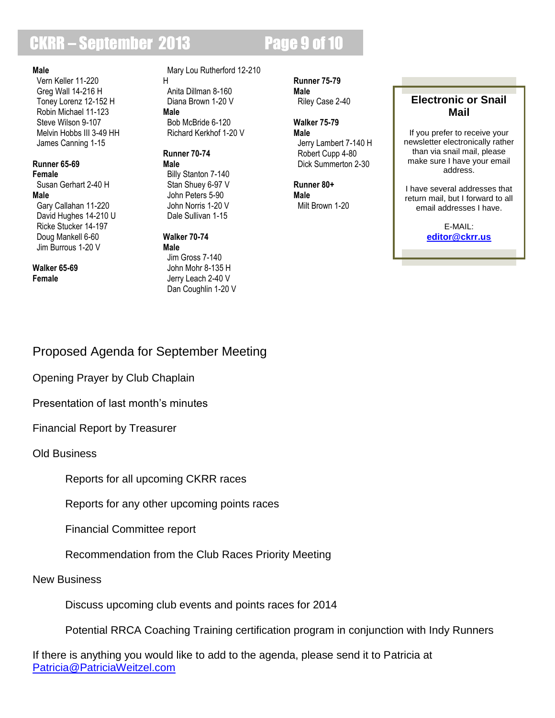# CKRR – September 2013 Page 9 of 10

### **Male**

 Vern Keller 11-220 Greg Wall 14-216 H Toney Lorenz 12-152 H Robin Michael 11-123 Steve Wilson 9-107 Melvin Hobbs III 3-49 HH James Canning 1-15

### **Runner 65-69**

**Female** Susan Gerhart 2-40 H **Male** Gary Callahan 11-220 David Hughes 14-210 U Ricke Stucker 14-197 Doug Mankell 6-60 Jim Burrous 1-20 V

**Walker 65-69 Female**

 Mary Lou Rutherford 12-210 H Anita Dillman 8-160 Diana Brown 1-20 V **Male** Bob McBride 6-120 Richard Kerkhof 1-20 V

### **Runner 70-74**

**Male** Billy Stanton 7-140 Stan Shuey 6-97 V John Peters 5-90 John Norris 1-20 V Dale Sullivan 1-15

### **Walker 70-74**

**Male** Jim Gross 7-140 John Mohr 8-135 H Jerry Leach 2-40 V Dan Coughlin 1-20 V **Runner 75-79 Male** Riley Case 2-40

**Walker 75-79 Male** Jerry Lambert 7-140 H Robert Cupp 4-80 Dick Summerton 2-30

**Runner 80+ Male** Milt Brown 1-20

### **Electronic or Snail Mail**

If you prefer to receive your newsletter electronically rather than via snail mail, please make sure I have your email address.

I have several addresses that return mail, but I forward to all email addresses I have.

> E-MAIL: **[editor@ckrr.us](mailto:editor@ckrr.us)**

### Proposed Agenda for September Meeting

Opening Prayer by Club Chaplain

Presentation of last month's minutes

Financial Report by Treasurer

Old Business

Reports for all upcoming CKRR races

Reports for any other upcoming points races

Financial Committee report

Recommendation from the Club Races Priority Meeting

### New Business

Discuss upcoming club events and points races for 2014

Potential RRCA Coaching Training certification program in conjunction with Indy Runners

If there is anything you would like to add to the agenda, please send it to Patricia at [Patricia@PatriciaWeitzel.com](mailto:Patricia@PatriciaWeitzel.com)